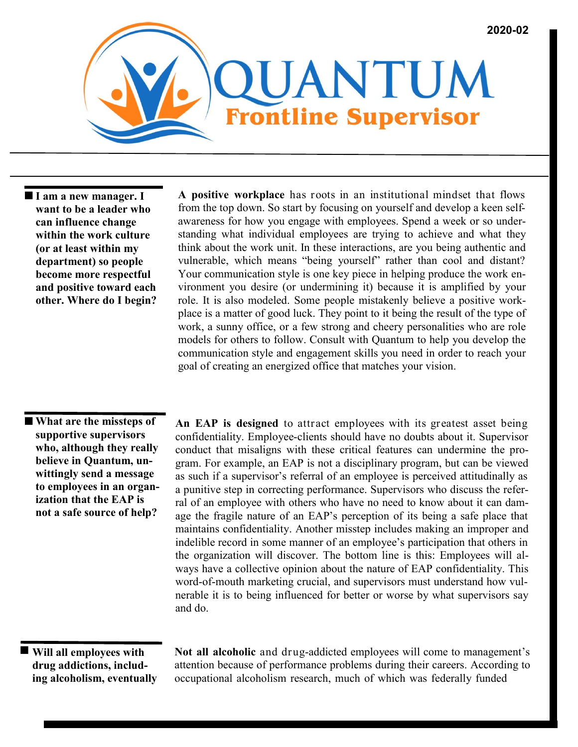

 **I am a new manager. I want to be a leader who can influence change within the work culture (or at least within my department) so people become more respectful and positive toward each other. Where do I begin?**

**A positive workplace** has roots in an institutional mindset that flows from the top down. So start by focusing on yourself and develop a keen selfawareness for how you engage with employees. Spend a week or so understanding what individual employees are trying to achieve and what they think about the work unit. In these interactions, are you being authentic and vulnerable, which means "being yourself" rather than cool and distant? Your communication style is one key piece in helping produce the work environment you desire (or undermining it) because it is amplified by your role. It is also modeled. Some people mistakenly believe a positive workplace is a matter of good luck. They point to it being the result of the type of work, a sunny office, or a few strong and cheery personalities who are role models for others to follow. Consult with Quantum to help you develop the communication style and engagement skills you need in order to reach your goal of creating an energized office that matches your vision.

 **What are the missteps of supportive supervisors who, although they really believe in Quantum, unwittingly send a message to employees in an organization that the EAP is not a safe source of help?**

**An EAP is designed** to attract employees with its greatest asset being confidentiality. Employee-clients should have no doubts about it. Supervisor conduct that misaligns with these critical features can undermine the program. For example, an EAP is not a disciplinary program, but can be viewed as such if a supervisor's referral of an employee is perceived attitudinally as a punitive step in correcting performance. Supervisors who discuss the referral of an employee with others who have no need to know about it can damage the fragile nature of an EAP's perception of its being a safe place that maintains confidentiality. Another misstep includes making an improper and indelible record in some manner of an employee's participation that others in the organization will discover. The bottom line is this: Employees will always have a collective opinion about the nature of EAP confidentiality. This word-of-mouth marketing crucial, and supervisors must understand how vulnerable it is to being influenced for better or worse by what supervisors say and do.

## **Will all employees with drug addictions, including alcoholism, eventually**

**Not all alcoholic** and drug-addicted employees will come to management's attention because of performance problems during their careers. According to occupational alcoholism research, much of which was federally funded